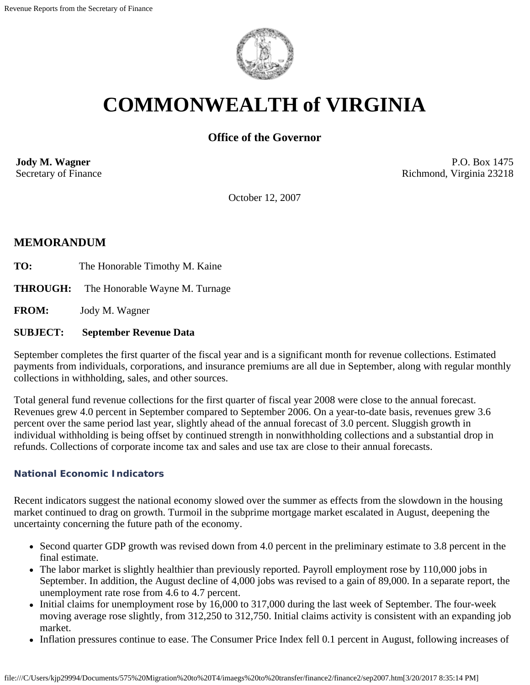

# **COMMONWEALTH of VIRGINIA**

## **Office of the Governor**

**Jody M. Wagner**  Secretary of Finance

P.O. Box 1475 Richmond, Virginia 23218

October 12, 2007

## **MEMORANDUM**

- TO: The Honorable Timothy M. Kaine
- **THROUGH:** The Honorable Wayne M. Turnage

**FROM:** Jody M. Wagner

#### **SUBJECT: September Revenue Data**

September completes the first quarter of the fiscal year and is a significant month for revenue collections. Estimated payments from individuals, corporations, and insurance premiums are all due in September, along with regular monthly collections in withholding, sales, and other sources.

Total general fund revenue collections for the first quarter of fiscal year 2008 were close to the annual forecast. Revenues grew 4.0 percent in September compared to September 2006. On a year-to-date basis, revenues grew 3.6 percent over the same period last year, slightly ahead of the annual forecast of 3.0 percent. Sluggish growth in individual withholding is being offset by continued strength in nonwithholding collections and a substantial drop in refunds. Collections of corporate income tax and sales and use tax are close to their annual forecasts.

#### **National Economic Indicators**

Recent indicators suggest the national economy slowed over the summer as effects from the slowdown in the housing market continued to drag on growth. Turmoil in the subprime mortgage market escalated in August, deepening the uncertainty concerning the future path of the economy.

- Second quarter GDP growth was revised down from 4.0 percent in the preliminary estimate to 3.8 percent in the final estimate.
- The labor market is slightly healthier than previously reported. Payroll employment rose by 110,000 jobs in September. In addition, the August decline of 4,000 jobs was revised to a gain of 89,000. In a separate report, the unemployment rate rose from 4.6 to 4.7 percent.
- Initial claims for unemployment rose by 16,000 to 317,000 during the last week of September. The four-week moving average rose slightly, from 312,250 to 312,750. Initial claims activity is consistent with an expanding job market.
- Inflation pressures continue to ease. The Consumer Price Index fell 0.1 percent in August, following increases of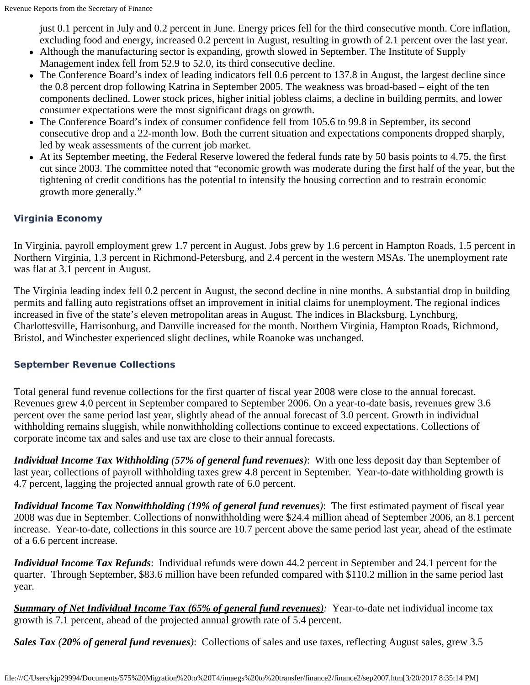just 0.1 percent in July and 0.2 percent in June. Energy prices fell for the third consecutive month. Core inflation, excluding food and energy, increased 0.2 percent in August, resulting in growth of 2.1 percent over the last year.

- Although the manufacturing sector is expanding, growth slowed in September. The Institute of Supply Management index fell from 52.9 to 52.0, its third consecutive decline.
- The Conference Board's index of leading indicators fell 0.6 percent to 137.8 in August, the largest decline since the 0.8 percent drop following Katrina in September 2005. The weakness was broad-based – eight of the ten components declined. Lower stock prices, higher initial jobless claims, a decline in building permits, and lower consumer expectations were the most significant drags on growth.
- The Conference Board's index of consumer confidence fell from 105.6 to 99.8 in September, its second consecutive drop and a 22-month low. Both the current situation and expectations components dropped sharply, led by weak assessments of the current job market.
- At its September meeting, the Federal Reserve lowered the federal funds rate by 50 basis points to 4.75, the first cut since 2003. The committee noted that "economic growth was moderate during the first half of the year, but the tightening of credit conditions has the potential to intensify the housing correction and to restrain economic growth more generally."

## **Virginia Economy**

In Virginia, payroll employment grew 1.7 percent in August. Jobs grew by 1.6 percent in Hampton Roads, 1.5 percent in Northern Virginia, 1.3 percent in Richmond-Petersburg, and 2.4 percent in the western MSAs. The unemployment rate was flat at 3.1 percent in August.

The Virginia leading index fell 0.2 percent in August, the second decline in nine months. A substantial drop in building permits and falling auto registrations offset an improvement in initial claims for unemployment. The regional indices increased in five of the state's eleven metropolitan areas in August. The indices in Blacksburg, Lynchburg, Charlottesville, Harrisonburg, and Danville increased for the month. Northern Virginia, Hampton Roads, Richmond, Bristol, and Winchester experienced slight declines, while Roanoke was unchanged.

#### **September Revenue Collections**

Total general fund revenue collections for the first quarter of fiscal year 2008 were close to the annual forecast. Revenues grew 4.0 percent in September compared to September 2006. On a year-to-date basis, revenues grew 3.6 percent over the same period last year, slightly ahead of the annual forecast of 3.0 percent. Growth in individual withholding remains sluggish, while nonwithholding collections continue to exceed expectations. Collections of corporate income tax and sales and use tax are close to their annual forecasts.

*Individual Income Tax Withholding (57% of general fund revenues)*: With one less deposit day than September of last year, collections of payroll withholding taxes grew 4.8 percent in September. Year-to-date withholding growth is 4.7 percent, lagging the projected annual growth rate of 6.0 percent.

*Individual Income Tax Nonwithholding (19% of general fund revenues)*: The first estimated payment of fiscal year 2008 was due in September. Collections of nonwithholding were \$24.4 million ahead of September 2006, an 8.1 percent increase. Year-to-date, collections in this source are 10.7 percent above the same period last year, ahead of the estimate of a 6.6 percent increase.

*Individual Income Tax Refunds*: Individual refunds were down 44.2 percent in September and 24.1 percent for the quarter. Through September, \$83.6 million have been refunded compared with \$110.2 million in the same period last year.

*Summary of Net Individual Income Tax (65% of general fund revenues):* Year-to-date net individual income tax growth is 7.1 percent, ahead of the projected annual growth rate of 5.4 percent.

*Sales Tax (20% of general fund revenues)*: Collections of sales and use taxes, reflecting August sales, grew 3.5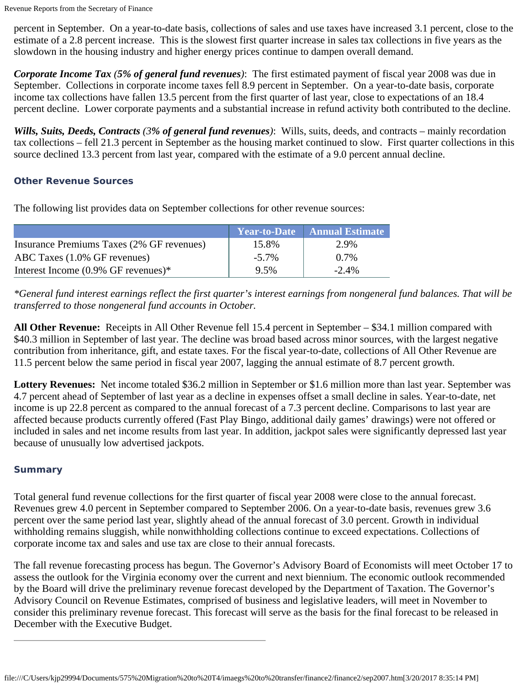percent in September. On a year-to-date basis, collections of sales and use taxes have increased 3.1 percent, close to the estimate of a 2.8 percent increase. This is the slowest first quarter increase in sales tax collections in five years as the slowdown in the housing industry and higher energy prices continue to dampen overall demand.

*Corporate Income Tax (5% of general fund revenues)*: The first estimated payment of fiscal year 2008 was due in September. Collections in corporate income taxes fell 8.9 percent in September. On a year-to-date basis, corporate income tax collections have fallen 13.5 percent from the first quarter of last year, close to expectations of an 18.4 percent decline. Lower corporate payments and a substantial increase in refund activity both contributed to the decline.

*Wills, Suits, Deeds, Contracts (3% of general fund revenues)*: Wills, suits, deeds, and contracts – mainly recordation tax collections – fell 21.3 percent in September as the housing market continued to slow. First quarter collections in this source declined 13.3 percent from last year, compared with the estimate of a 9.0 percent annual decline.

#### **Other Revenue Sources**

The following list provides data on September collections for other revenue sources:

|                                           |          | Year-to-Date   Annual Estimate |
|-------------------------------------------|----------|--------------------------------|
| Insurance Premiums Taxes (2% GF revenues) | 15.8%    | 2.9%                           |
| ABC Taxes (1.0% GF revenues)              | $-5.7\%$ | $0.7\%$                        |
| Interest Income $(0.9\%$ GF revenues)*    | 9.5%     | $-2.4\%$                       |

*\*General fund interest earnings reflect the first quarter's interest earnings from nongeneral fund balances. That will be transferred to those nongeneral fund accounts in October.*

**All Other Revenue:** Receipts in All Other Revenue fell 15.4 percent in September – \$34.1 million compared with \$40.3 million in September of last year. The decline was broad based across minor sources, with the largest negative contribution from inheritance, gift, and estate taxes. For the fiscal year-to-date, collections of All Other Revenue are 11.5 percent below the same period in fiscal year 2007, lagging the annual estimate of 8.7 percent growth.

**Lottery Revenues:** Net income totaled \$36.2 million in September or \$1.6 million more than last year. September was 4.7 percent ahead of September of last year as a decline in expenses offset a small decline in sales. Year-to-date, net income is up 22.8 percent as compared to the annual forecast of a 7.3 percent decline. Comparisons to last year are affected because products currently offered (Fast Play Bingo, additional daily games' drawings) were not offered or included in sales and net income results from last year. In addition, jackpot sales were significantly depressed last year because of unusually low advertised jackpots.

#### **Summary**

Total general fund revenue collections for the first quarter of fiscal year 2008 were close to the annual forecast. Revenues grew 4.0 percent in September compared to September 2006. On a year-to-date basis, revenues grew 3.6 percent over the same period last year, slightly ahead of the annual forecast of 3.0 percent. Growth in individual withholding remains sluggish, while nonwithholding collections continue to exceed expectations. Collections of corporate income tax and sales and use tax are close to their annual forecasts.

The fall revenue forecasting process has begun. The Governor's Advisory Board of Economists will meet October 17 to assess the outlook for the Virginia economy over the current and next biennium. The economic outlook recommended by the Board will drive the preliminary revenue forecast developed by the Department of Taxation. The Governor's Advisory Council on Revenue Estimates, comprised of business and legislative leaders, will meet in November to consider this preliminary revenue forecast. This forecast will serve as the basis for the final forecast to be released in December with the Executive Budget.